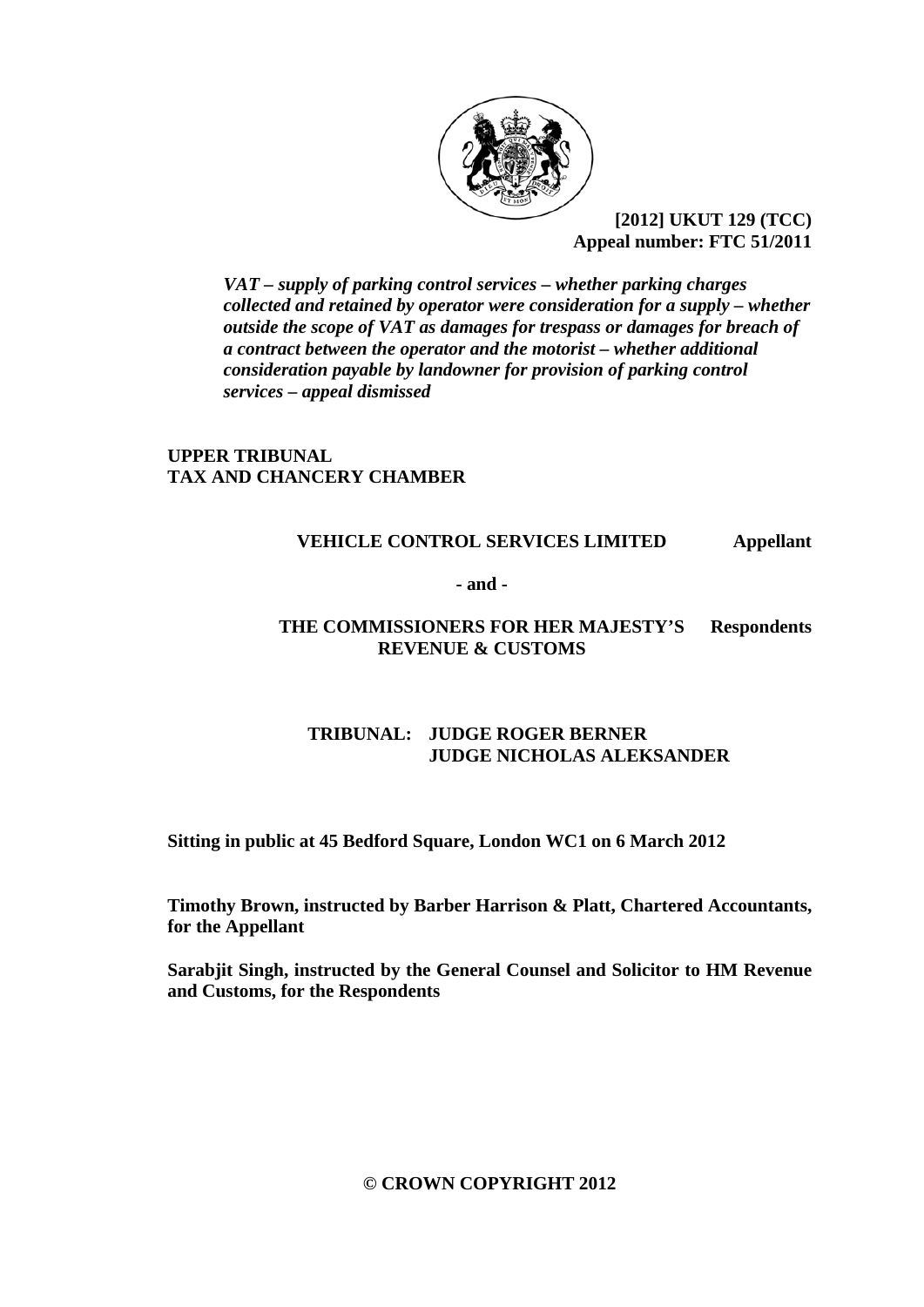

 **[2012] UKUT 129 (TCC) Appeal number: FTC 51/2011** 

*VAT – supply of parking control services – whether parking charges collected and retained by operator were consideration for a supply – whether outside the scope of VAT as damages for trespass or damages for breach of a contract between the operator and the motorist – whether additional consideration payable by landowner for provision of parking control services – appeal dismissed* 

# **UPPER TRIBUNAL TAX AND CHANCERY CHAMBER**

#### **VEHICLE CONTROL SERVICES LIMITED Appellant**

**- and -** 

#### **THE COMMISSIONERS FOR HER MAJESTY'S Respondents REVENUE & CUSTOMS**

# **TRIBUNAL: JUDGE ROGER BERNER JUDGE NICHOLAS ALEKSANDER**

**Sitting in public at 45 Bedford Square, London WC1 on 6 March 2012** 

**Timothy Brown, instructed by Barber Harrison & Platt, Chartered Accountants, for the Appellant** 

**Sarabjit Singh, instructed by the General Counsel and Solicitor to HM Revenue and Customs, for the Respondents** 

**© CROWN COPYRIGHT 2012**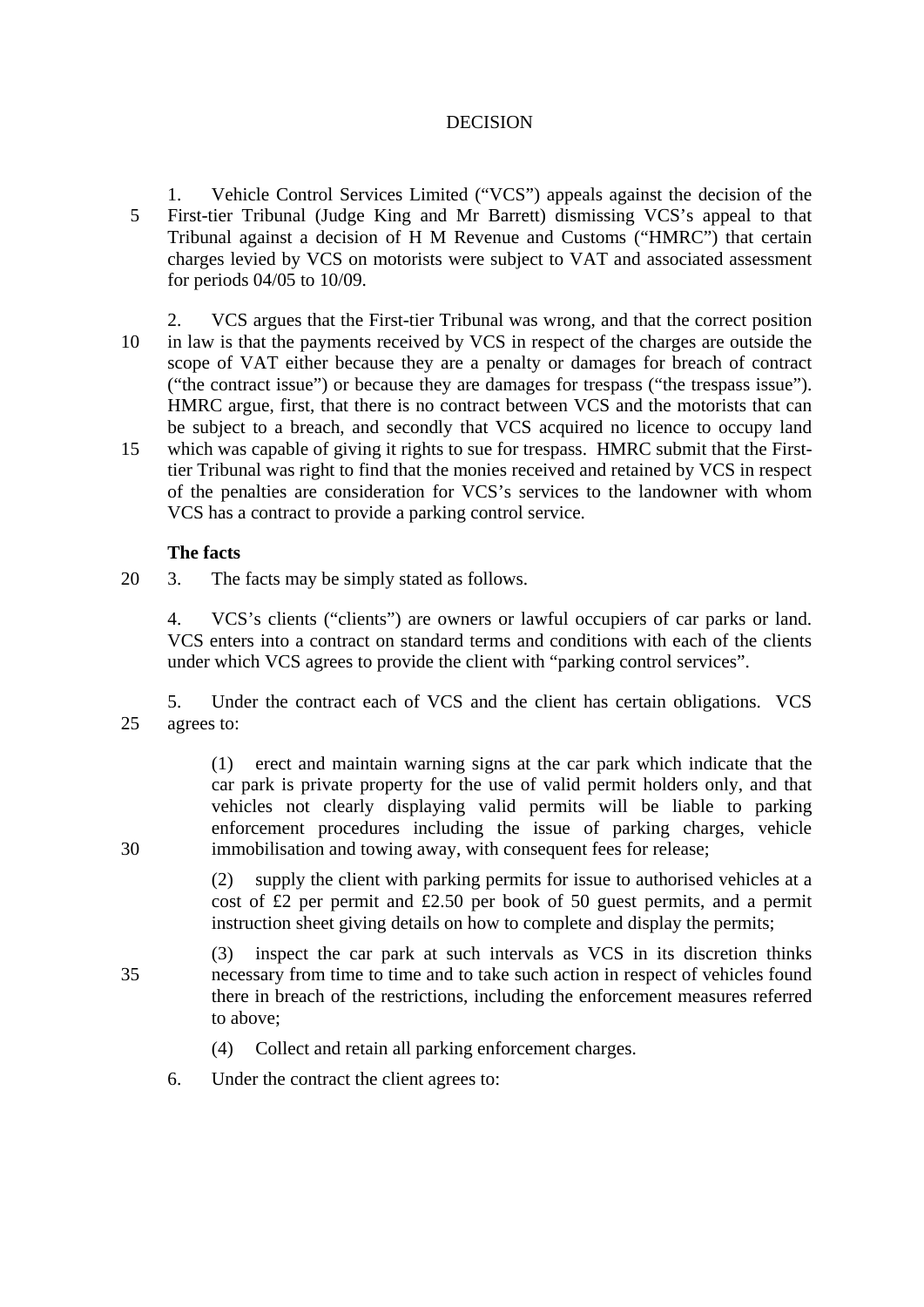## DECISION

- 1. Vehicle Control Services Limited ("VCS") appeals against the decision of the 5 First-tier Tribunal (Judge King and Mr Barrett) dismissing VCS's appeal to that Tribunal against a decision of H M Revenue and Customs ("HMRC") that certain charges levied by VCS on motorists were subject to VAT and associated assessment for periods 04/05 to 10/09.
- 2. VCS argues that the First-tier Tribunal was wrong, and that the correct position 10 in law is that the payments received by VCS in respect of the charges are outside the scope of VAT either because they are a penalty or damages for breach of contract ("the contract issue") or because they are damages for trespass ("the trespass issue"). HMRC argue, first, that there is no contract between VCS and the motorists that can be subject to a breach, and secondly that VCS acquired no licence to occupy land 15 which was capable of giving it rights to sue for trespass. HMRC submit that the Firsttier Tribunal was right to find that the monies received and retained by VCS in respect of the penalties are consideration for VCS's services to the landowner with whom VCS has a contract to provide a parking control service.

## **The facts**

20 3. The facts may be simply stated as follows.

4. VCS's clients ("clients") are owners or lawful occupiers of car parks or land. VCS enters into a contract on standard terms and conditions with each of the clients under which VCS agrees to provide the client with "parking control services".

5. Under the contract each of VCS and the client has certain obligations. VCS 25 agrees to:

(1) erect and maintain warning signs at the car park which indicate that the car park is private property for the use of valid permit holders only, and that vehicles not clearly displaying valid permits will be liable to parking enforcement procedures including the issue of parking charges, vehicle 30 immobilisation and towing away, with consequent fees for release;

> (2) supply the client with parking permits for issue to authorised vehicles at a cost of £2 per permit and  $£2.50$  per book of 50 guest permits, and a permit instruction sheet giving details on how to complete and display the permits;

- (3) inspect the car park at such intervals as VCS in its discretion thinks 35 necessary from time to time and to take such action in respect of vehicles found there in breach of the restrictions, including the enforcement measures referred to above;
	- (4) Collect and retain all parking enforcement charges.
	- 6. Under the contract the client agrees to: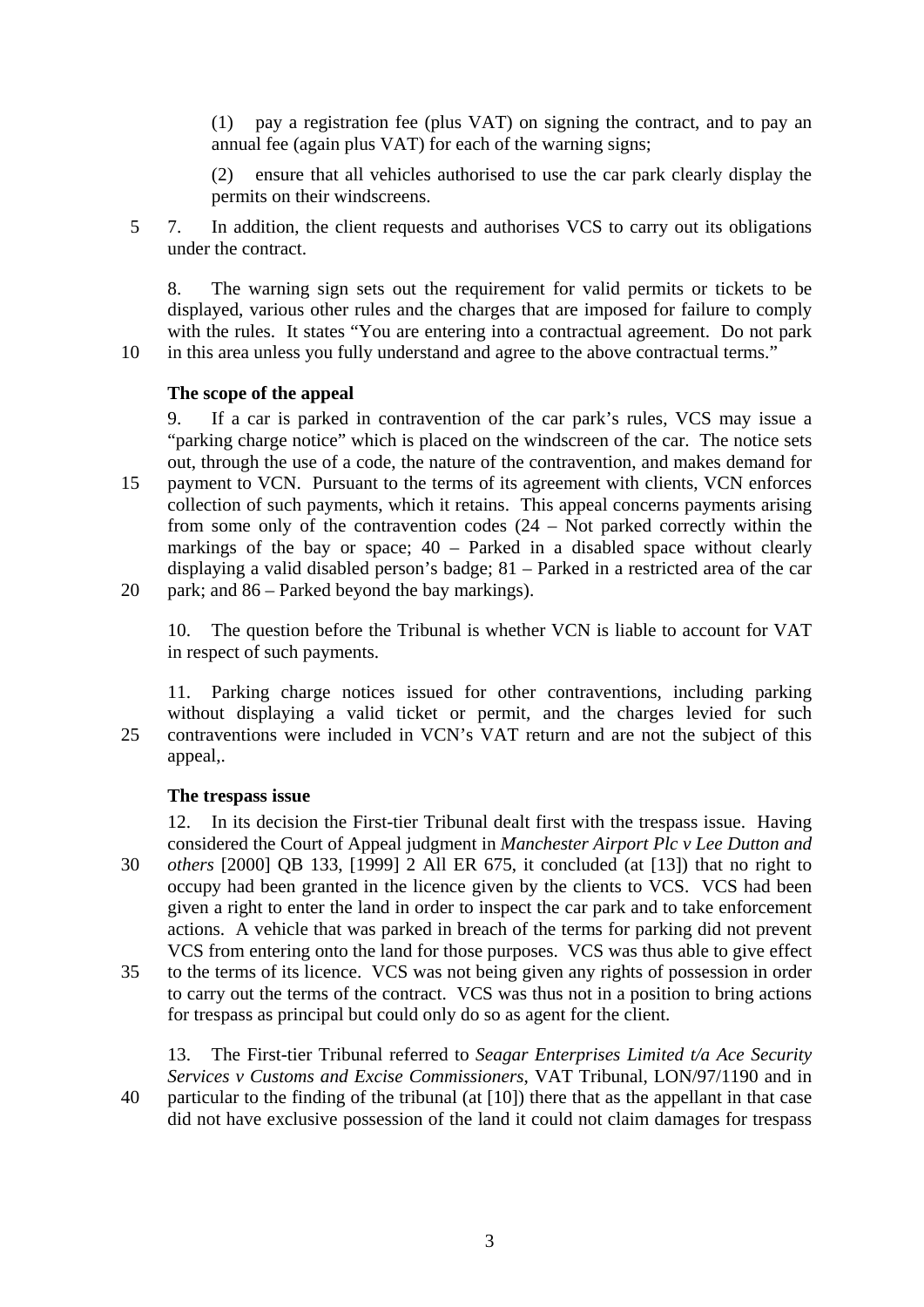(1) pay a registration fee (plus VAT) on signing the contract, and to pay an annual fee (again plus VAT) for each of the warning signs;

(2) ensure that all vehicles authorised to use the car park clearly display the permits on their windscreens.

5 7. In addition, the client requests and authorises VCS to carry out its obligations under the contract.

8. The warning sign sets out the requirement for valid permits or tickets to be displayed, various other rules and the charges that are imposed for failure to comply with the rules. It states "You are entering into a contractual agreement. Do not park 10 in this area unless you fully understand and agree to the above contractual terms."

## **The scope of the appeal**

9. If a car is parked in contravention of the car park's rules, VCS may issue a "parking charge notice" which is placed on the windscreen of the car. The notice sets out, through the use of a code, the nature of the contravention, and makes demand for 15 payment to VCN. Pursuant to the terms of its agreement with clients, VCN enforces collection of such payments, which it retains. This appeal concerns payments arising from some only of the contravention codes (24 – Not parked correctly within the markings of the bay or space; 40 – Parked in a disabled space without clearly displaying a valid disabled person's badge; 81 – Parked in a restricted area of the car 20 park; and 86 – Parked beyond the bay markings).

10. The question before the Tribunal is whether VCN is liable to account for VAT in respect of such payments.

11. Parking charge notices issued for other contraventions, including parking without displaying a valid ticket or permit, and the charges levied for such 25 contraventions were included in VCN's VAT return and are not the subject of this appeal,.

# **The trespass issue**

12. In its decision the First-tier Tribunal dealt first with the trespass issue. Having considered the Court of Appeal judgment in *Manchester Airport Plc v Lee Dutton and*  30 *others* [2000] QB 133, [1999] 2 All ER 675, it concluded (at [13]) that no right to occupy had been granted in the licence given by the clients to VCS. VCS had been given a right to enter the land in order to inspect the car park and to take enforcement actions. A vehicle that was parked in breach of the terms for parking did not prevent VCS from entering onto the land for those purposes. VCS was thus able to give effect

35 to the terms of its licence. VCS was not being given any rights of possession in order to carry out the terms of the contract. VCS was thus not in a position to bring actions for trespass as principal but could only do so as agent for the client.

13. The First-tier Tribunal referred to *Seagar Enterprises Limited t/a Ace Security Services v Customs and Excise Commissioners*, VAT Tribunal, LON/97/1190 and in 40 particular to the finding of the tribunal (at [10]) there that as the appellant in that case did not have exclusive possession of the land it could not claim damages for trespass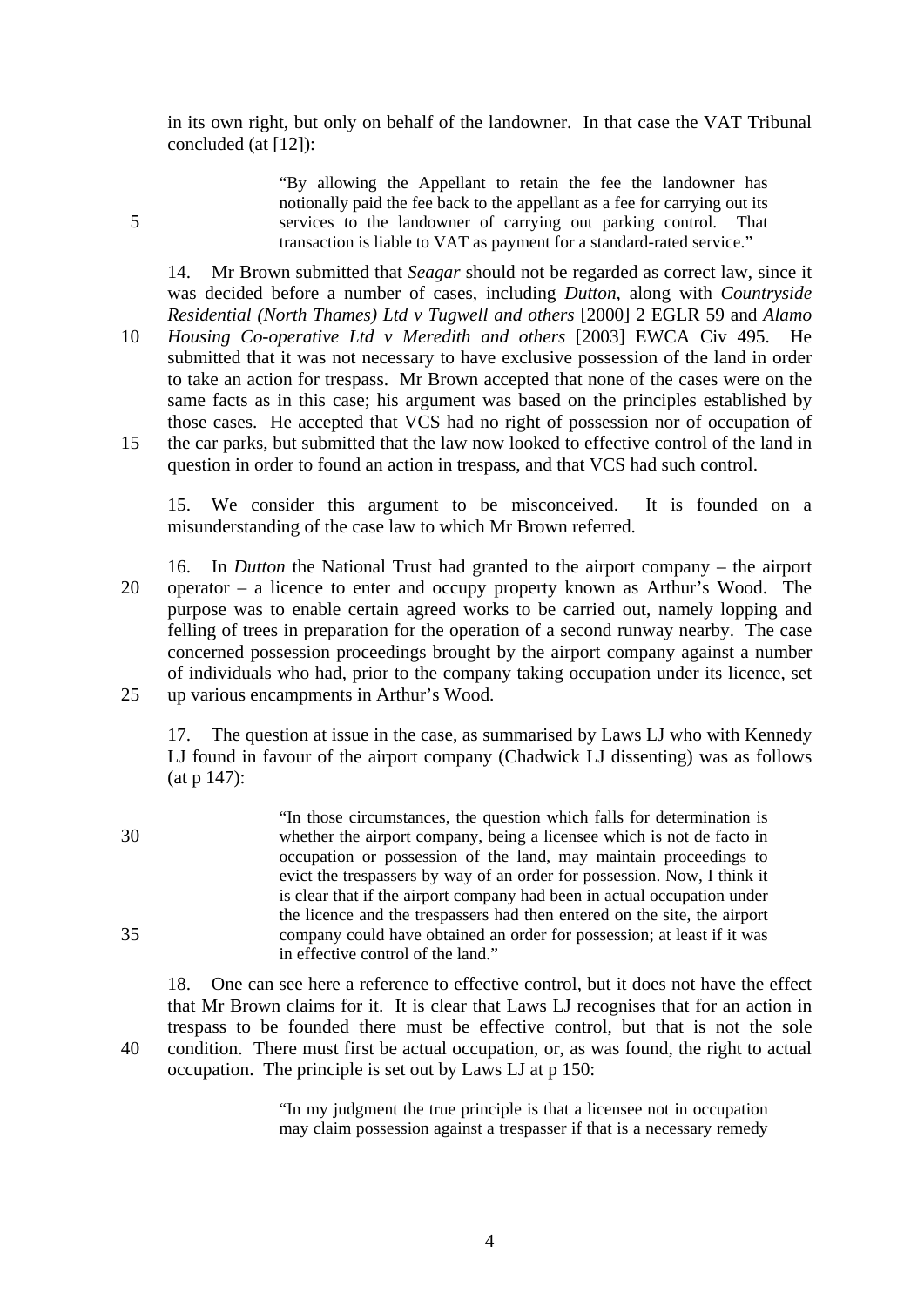in its own right, but only on behalf of the landowner. In that case the VAT Tribunal concluded (at [12]):

"By allowing the Appellant to retain the fee the landowner has notionally paid the fee back to the appellant as a fee for carrying out its 5 services to the landowner of carrying out parking control. That transaction is liable to VAT as payment for a standard-rated service."

14. Mr Brown submitted that *Seagar* should not be regarded as correct law, since it was decided before a number of cases, including *Dutton*, along with *Countryside Residential (North Thames) Ltd v Tugwell and others* [2000] 2 EGLR 59 and *Alamo* 

10 *Housing Co-operative Ltd v Meredith and others* [2003] EWCA Civ 495. He submitted that it was not necessary to have exclusive possession of the land in order to take an action for trespass. Mr Brown accepted that none of the cases were on the same facts as in this case; his argument was based on the principles established by those cases. He accepted that VCS had no right of possession nor of occupation of 15 the car parks, but submitted that the law now looked to effective control of the land in question in order to found an action in trespass, and that VCS had such control.

15. We consider this argument to be misconceived. It is founded on a misunderstanding of the case law to which Mr Brown referred.

16. In *Dutton* the National Trust had granted to the airport company – the airport 20 operator – a licence to enter and occupy property known as Arthur's Wood. The purpose was to enable certain agreed works to be carried out, namely lopping and felling of trees in preparation for the operation of a second runway nearby. The case concerned possession proceedings brought by the airport company against a number of individuals who had, prior to the company taking occupation under its licence, set 25 up various encampments in Arthur's Wood.

17. The question at issue in the case, as summarised by Laws LJ who with Kennedy LJ found in favour of the airport company (Chadwick LJ dissenting) was as follows (at p 147):

"In those circumstances, the question which falls for determination is 30 whether the airport company, being a licensee which is not de facto in occupation or possession of the land, may maintain proceedings to evict the trespassers by way of an order for possession. Now, I think it is clear that if the airport company had been in actual occupation under the licence and the trespassers had then entered on the site, the airport 35 company could have obtained an order for possession; at least if it was in effective control of the land."

18. One can see here a reference to effective control, but it does not have the effect that Mr Brown claims for it. It is clear that Laws LJ recognises that for an action in trespass to be founded there must be effective control, but that is not the sole 40 condition. There must first be actual occupation, or, as was found, the right to actual occupation. The principle is set out by Laws LJ at p 150:

> "In my judgment the true principle is that a licensee not in occupation may claim possession against a trespasser if that is a necessary remedy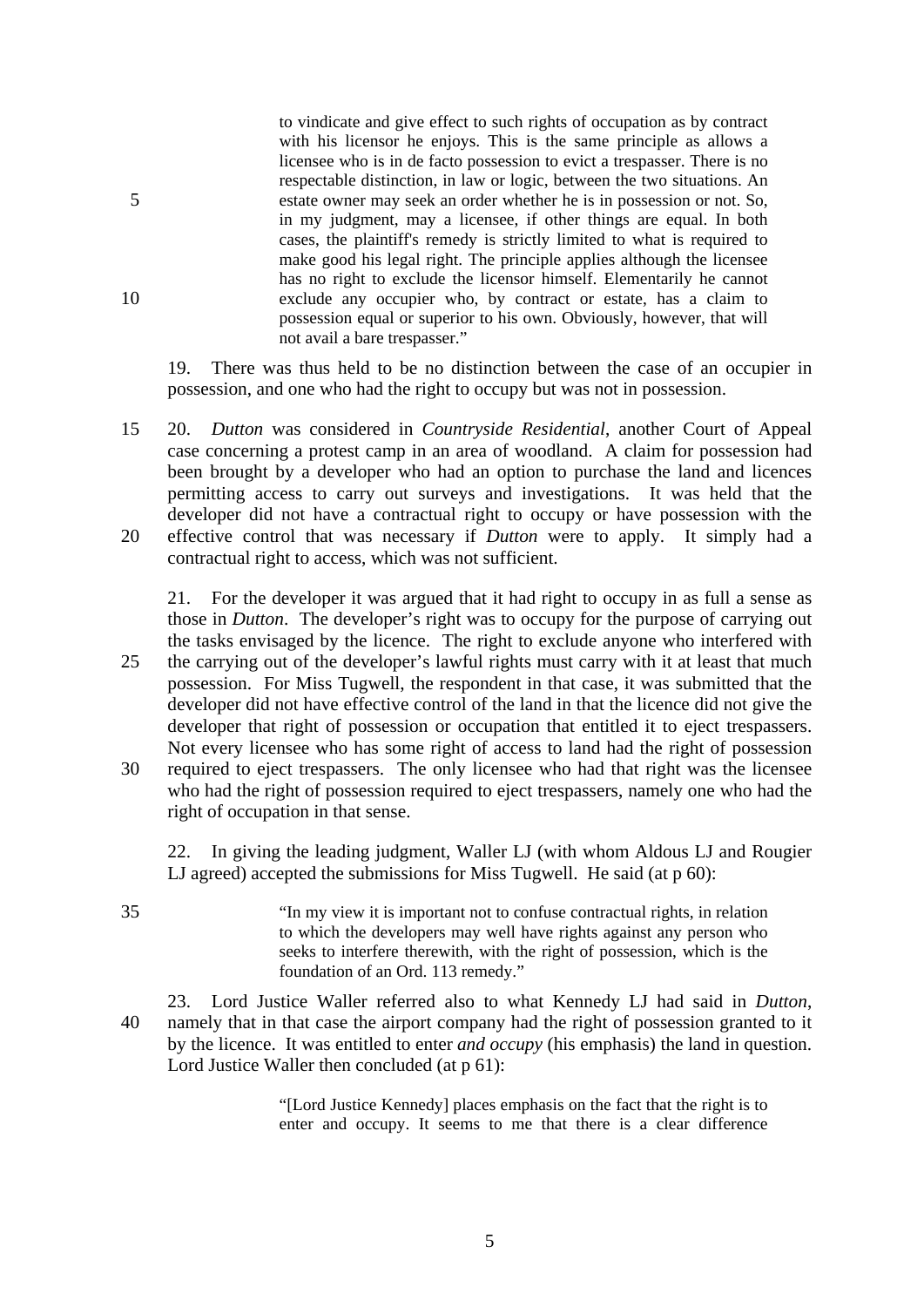to vindicate and give effect to such rights of occupation as by contract with his licensor he enjoys. This is the same principle as allows a licensee who is in de facto possession to evict a trespasser. There is no respectable distinction, in law or logic, between the two situations. An 5 estate owner may seek an order whether he is in possession or not. So, in my judgment, may a licensee, if other things are equal. In both cases, the plaintiff's remedy is strictly limited to what is required to make good his legal right. The principle applies although the licensee has no right to exclude the licensor himself. Elementarily he cannot 10 exclude any occupier who, by contract or estate, has a claim to possession equal or superior to his own. Obviously, however, that will not avail a bare trespasser."

19. There was thus held to be no distinction between the case of an occupier in possession, and one who had the right to occupy but was not in possession.

15 20. *Dutton* was considered in *Countryside Residential*, another Court of Appeal case concerning a protest camp in an area of woodland. A claim for possession had been brought by a developer who had an option to purchase the land and licences permitting access to carry out surveys and investigations. It was held that the developer did not have a contractual right to occupy or have possession with the 20 effective control that was necessary if *Dutton* were to apply. It simply had a contractual right to access, which was not sufficient.

21. For the developer it was argued that it had right to occupy in as full a sense as those in *Dutton*. The developer's right was to occupy for the purpose of carrying out the tasks envisaged by the licence. The right to exclude anyone who interfered with 25 the carrying out of the developer's lawful rights must carry with it at least that much possession. For Miss Tugwell, the respondent in that case, it was submitted that the developer did not have effective control of the land in that the licence did not give the developer that right of possession or occupation that entitled it to eject trespassers. Not every licensee who has some right of access to land had the right of possession 30 required to eject trespassers. The only licensee who had that right was the licensee who had the right of possession required to eject trespassers, namely one who had the right of occupation in that sense.

22. In giving the leading judgment, Waller LJ (with whom Aldous LJ and Rougier LJ agreed) accepted the submissions for Miss Tugwell. He said (at p 60):

35 "In my view it is important not to confuse contractual rights, in relation to which the developers may well have rights against any person who seeks to interfere therewith, with the right of possession, which is the foundation of an Ord. 113 remedy."

23. Lord Justice Waller referred also to what Kennedy LJ had said in *Dutton*, 40 namely that in that case the airport company had the right of possession granted to it by the licence. It was entitled to enter *and occupy* (his emphasis) the land in question. Lord Justice Waller then concluded (at p 61):

> "[Lord Justice Kennedy] places emphasis on the fact that the right is to enter and occupy. It seems to me that there is a clear difference

> > 5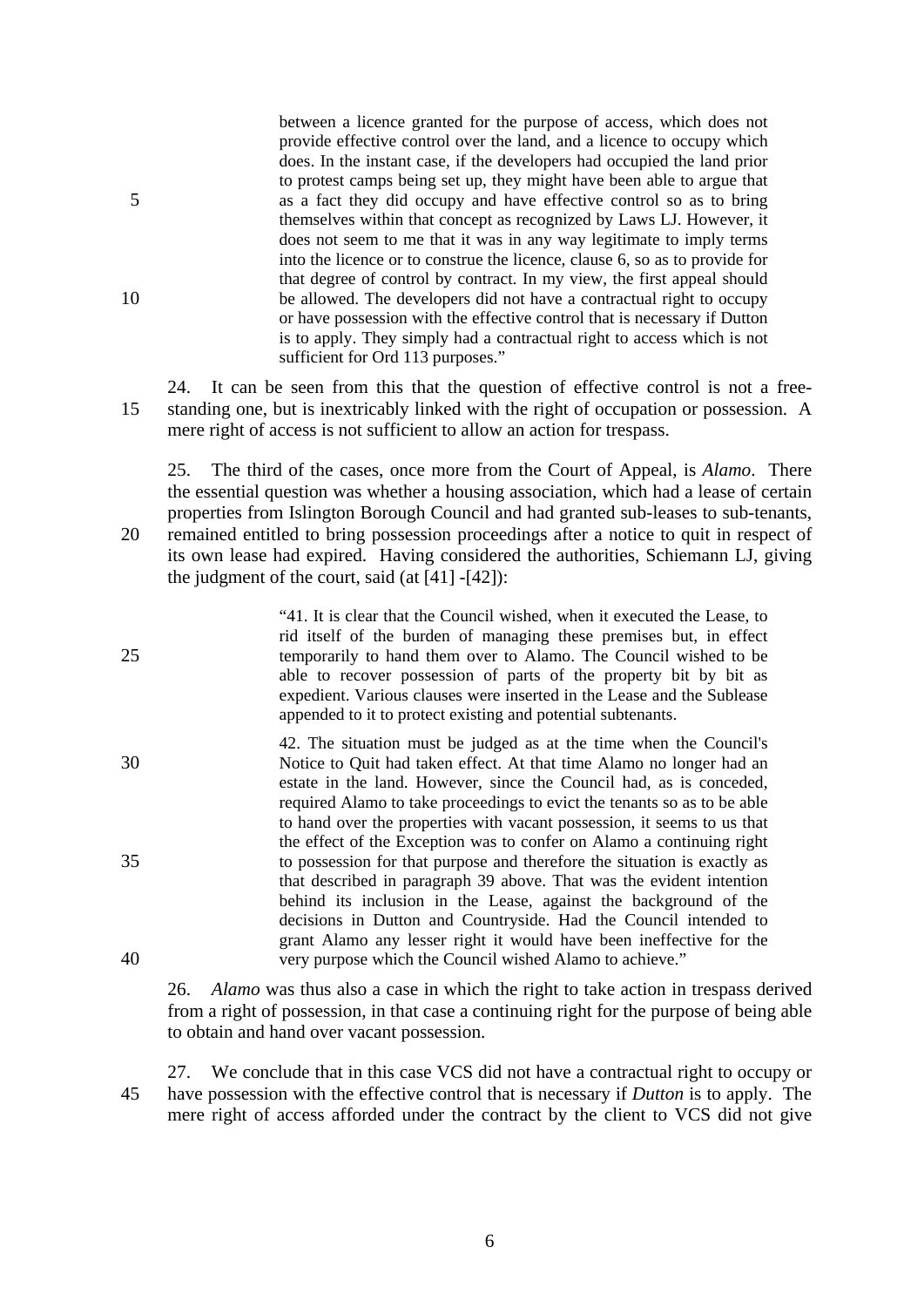between a licence granted for the purpose of access, which does not provide effective control over the land, and a licence to occupy which does. In the instant case, if the developers had occupied the land prior to protest camps being set up, they might have been able to argue that 5 as a fact they did occupy and have effective control so as to bring themselves within that concept as recognized by Laws LJ. However, it does not seem to me that it was in any way legitimate to imply terms into the licence or to construe the licence, clause 6, so as to provide for that degree of control by contract. In my view, the first appeal should 10 be allowed. The developers did not have a contractual right to occupy or have possession with the effective control that is necessary if Dutton is to apply. They simply had a contractual right to access which is not sufficient for Ord 113 purposes."

24. It can be seen from this that the question of effective control is not a free-15 standing one, but is inextricably linked with the right of occupation or possession. A mere right of access is not sufficient to allow an action for trespass.

25. The third of the cases, once more from the Court of Appeal, is *Alamo*. There the essential question was whether a housing association, which had a lease of certain properties from Islington Borough Council and had granted sub-leases to sub-tenants, 20 remained entitled to bring possession proceedings after a notice to quit in respect of its own lease had expired. Having considered the authorities, Schiemann LJ, giving the judgment of the court, said  $(at [41] - [42])$ :

"41. It is clear that the Council wished, when it executed the Lease, to rid itself of the burden of managing these premises but, in effect 25 temporarily to hand them over to Alamo. The Council wished to be able to recover possession of parts of the property bit by bit as expedient. Various clauses were inserted in the Lease and the Sublease appended to it to protect existing and potential subtenants.

42. The situation must be judged as at the time when the Council's 30 Notice to Quit had taken effect. At that time Alamo no longer had an estate in the land. However, since the Council had, as is conceded, required Alamo to take proceedings to evict the tenants so as to be able to hand over the properties with vacant possession, it seems to us that the effect of the Exception was to confer on Alamo a continuing right 35 to possession for that purpose and therefore the situation is exactly as that described in paragraph 39 above. That was the evident intention behind its inclusion in the Lease, against the background of the decisions in Dutton and Countryside. Had the Council intended to grant Alamo any lesser right it would have been ineffective for the 40 very purpose which the Council wished Alamo to achieve."

26. *Alamo* was thus also a case in which the right to take action in trespass derived from a right of possession, in that case a continuing right for the purpose of being able to obtain and hand over vacant possession.

27. We conclude that in this case VCS did not have a contractual right to occupy or 45 have possession with the effective control that is necessary if *Dutton* is to apply. The mere right of access afforded under the contract by the client to VCS did not give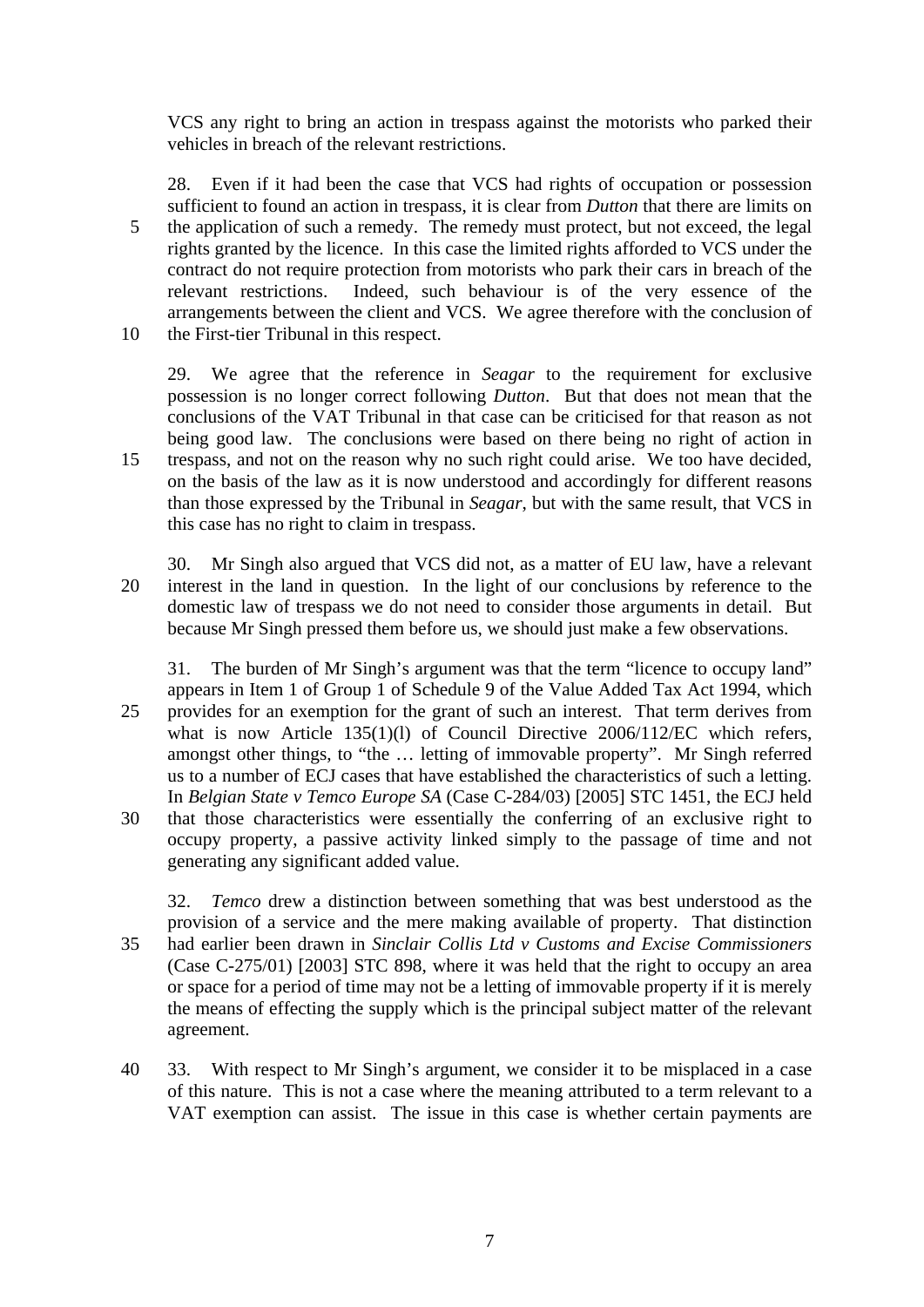VCS any right to bring an action in trespass against the motorists who parked their vehicles in breach of the relevant restrictions.

28. Even if it had been the case that VCS had rights of occupation or possession sufficient to found an action in trespass, it is clear from *Dutton* that there are limits on 5 the application of such a remedy. The remedy must protect, but not exceed, the legal rights granted by the licence. In this case the limited rights afforded to VCS under the contract do not require protection from motorists who park their cars in breach of the relevant restrictions. Indeed, such behaviour is of the very essence of the arrangements between the client and VCS. We agree therefore with the conclusion of 10 the First-tier Tribunal in this respect.

29. We agree that the reference in *Seagar* to the requirement for exclusive possession is no longer correct following *Dutton*. But that does not mean that the conclusions of the VAT Tribunal in that case can be criticised for that reason as not being good law. The conclusions were based on there being no right of action in 15 trespass, and not on the reason why no such right could arise. We too have decided, on the basis of the law as it is now understood and accordingly for different reasons than those expressed by the Tribunal in *Seagar*, but with the same result, that VCS in this case has no right to claim in trespass.

30. Mr Singh also argued that VCS did not, as a matter of EU law, have a relevant 20 interest in the land in question. In the light of our conclusions by reference to the domestic law of trespass we do not need to consider those arguments in detail. But because Mr Singh pressed them before us, we should just make a few observations.

31. The burden of Mr Singh's argument was that the term "licence to occupy land" appears in Item 1 of Group 1 of Schedule 9 of the Value Added Tax Act 1994, which 25 provides for an exemption for the grant of such an interest. That term derives from what is now Article 135(1)(1) of Council Directive 2006/112/EC which refers, amongst other things, to "the … letting of immovable property". Mr Singh referred us to a number of ECJ cases that have established the characteristics of such a letting. In *Belgian State v Temco Europe SA* (Case C-284/03) [2005] STC 1451, the ECJ held 30 that those characteristics were essentially the conferring of an exclusive right to occupy property, a passive activity linked simply to the passage of time and not generating any significant added value.

32. *Temco* drew a distinction between something that was best understood as the provision of a service and the mere making available of property. That distinction 35 had earlier been drawn in *Sinclair Collis Ltd v Customs and Excise Commissioners* (Case C-275/01) [2003] STC 898, where it was held that the right to occupy an area or space for a period of time may not be a letting of immovable property if it is merely the means of effecting the supply which is the principal subject matter of the relevant agreement.

40 33. With respect to Mr Singh's argument, we consider it to be misplaced in a case of this nature. This is not a case where the meaning attributed to a term relevant to a VAT exemption can assist. The issue in this case is whether certain payments are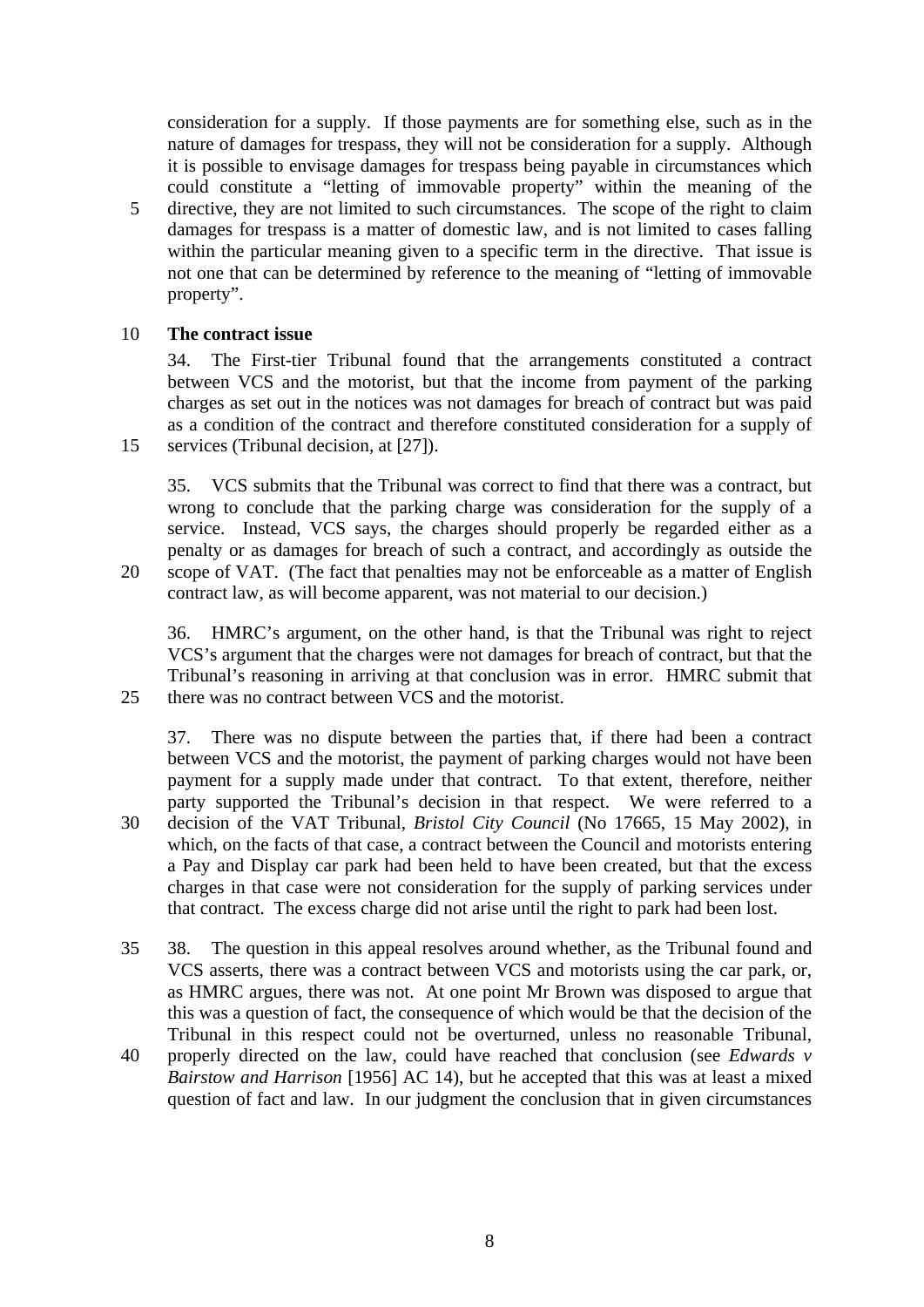consideration for a supply. If those payments are for something else, such as in the nature of damages for trespass, they will not be consideration for a supply. Although it is possible to envisage damages for trespass being payable in circumstances which could constitute a "letting of immovable property" within the meaning of the 5 directive, they are not limited to such circumstances. The scope of the right to claim damages for trespass is a matter of domestic law, and is not limited to cases falling within the particular meaning given to a specific term in the directive. That issue is not one that can be determined by reference to the meaning of "letting of immovable property".

#### 10 **The contract issue**

34. The First-tier Tribunal found that the arrangements constituted a contract between VCS and the motorist, but that the income from payment of the parking charges as set out in the notices was not damages for breach of contract but was paid as a condition of the contract and therefore constituted consideration for a supply of 15 services (Tribunal decision, at [27]).

35. VCS submits that the Tribunal was correct to find that there was a contract, but wrong to conclude that the parking charge was consideration for the supply of a service. Instead, VCS says, the charges should properly be regarded either as a penalty or as damages for breach of such a contract, and accordingly as outside the 20 scope of VAT. (The fact that penalties may not be enforceable as a matter of English

contract law, as will become apparent, was not material to our decision.)

36. HMRC's argument, on the other hand, is that the Tribunal was right to reject VCS's argument that the charges were not damages for breach of contract, but that the Tribunal's reasoning in arriving at that conclusion was in error. HMRC submit that 25 there was no contract between VCS and the motorist.

37. There was no dispute between the parties that, if there had been a contract between VCS and the motorist, the payment of parking charges would not have been payment for a supply made under that contract. To that extent, therefore, neither party supported the Tribunal's decision in that respect. We were referred to a 30 decision of the VAT Tribunal, *Bristol City Council* (No 17665, 15 May 2002), in which, on the facts of that case, a contract between the Council and motorists entering a Pay and Display car park had been held to have been created, but that the excess charges in that case were not consideration for the supply of parking services under that contract. The excess charge did not arise until the right to park had been lost.

- 35 38. The question in this appeal resolves around whether, as the Tribunal found and VCS asserts, there was a contract between VCS and motorists using the car park, or, as HMRC argues, there was not. At one point Mr Brown was disposed to argue that this was a question of fact, the consequence of which would be that the decision of the Tribunal in this respect could not be overturned, unless no reasonable Tribunal,
- 40 properly directed on the law, could have reached that conclusion (see *Edwards v Bairstow and Harrison* [1956] AC 14), but he accepted that this was at least a mixed question of fact and law. In our judgment the conclusion that in given circumstances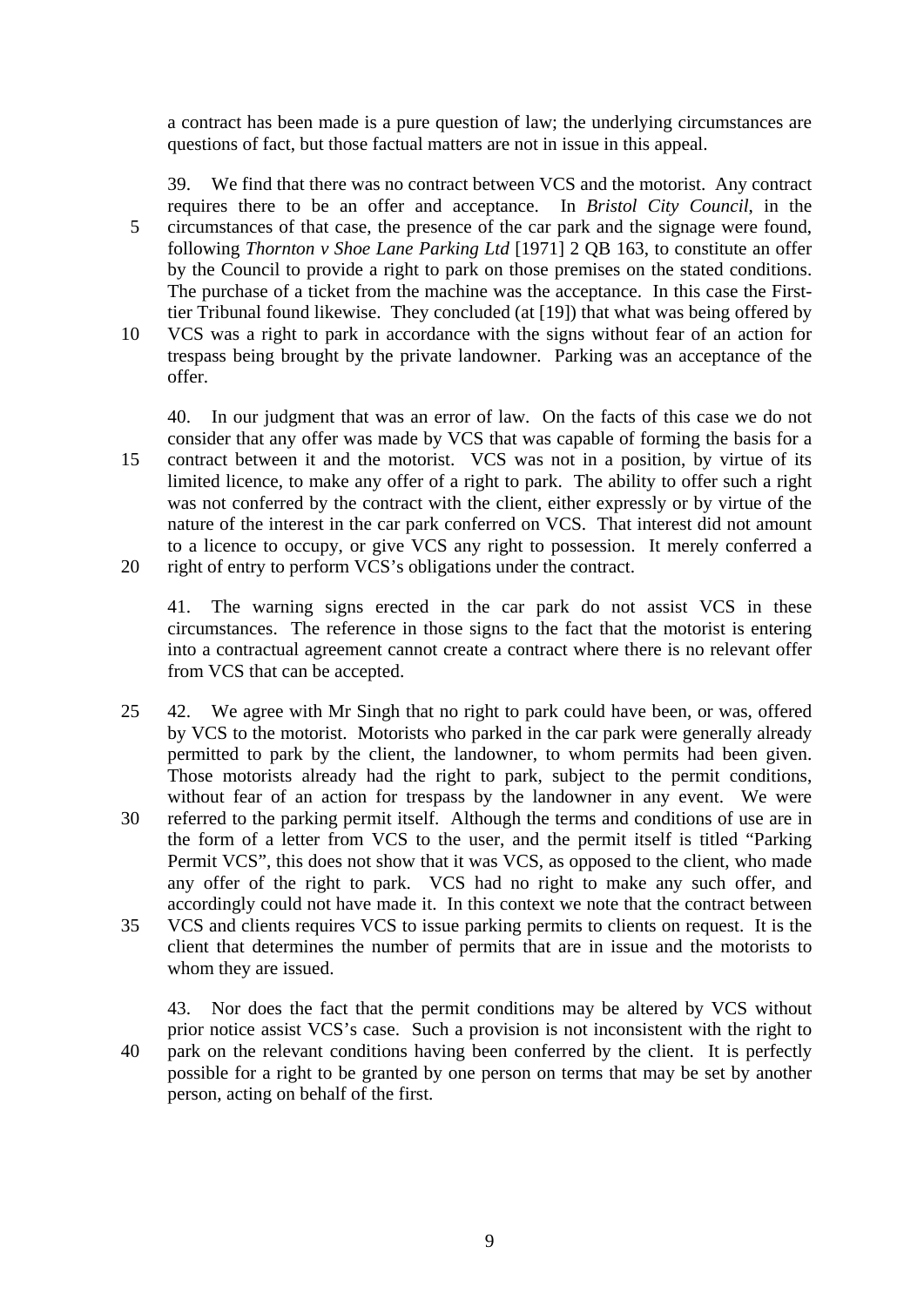a contract has been made is a pure question of law; the underlying circumstances are questions of fact, but those factual matters are not in issue in this appeal.

39. We find that there was no contract between VCS and the motorist. Any contract requires there to be an offer and acceptance. In *Bristol City Council*, in the 5 circumstances of that case, the presence of the car park and the signage were found, following *Thornton v Shoe Lane Parking Ltd* [1971] 2 QB 163, to constitute an offer by the Council to provide a right to park on those premises on the stated conditions. The purchase of a ticket from the machine was the acceptance. In this case the Firsttier Tribunal found likewise. They concluded (at [19]) that what was being offered by 10 VCS was a right to park in accordance with the signs without fear of an action for trespass being brought by the private landowner. Parking was an acceptance of the offer.

40. In our judgment that was an error of law. On the facts of this case we do not consider that any offer was made by VCS that was capable of forming the basis for a 15 contract between it and the motorist. VCS was not in a position, by virtue of its limited licence, to make any offer of a right to park. The ability to offer such a right was not conferred by the contract with the client, either expressly or by virtue of the nature of the interest in the car park conferred on VCS. That interest did not amount to a licence to occupy, or give VCS any right to possession. It merely conferred a 20 right of entry to perform VCS's obligations under the contract.

41. The warning signs erected in the car park do not assist VCS in these circumstances. The reference in those signs to the fact that the motorist is entering into a contractual agreement cannot create a contract where there is no relevant offer from VCS that can be accepted.

25 42. We agree with Mr Singh that no right to park could have been, or was, offered by VCS to the motorist. Motorists who parked in the car park were generally already permitted to park by the client, the landowner, to whom permits had been given. Those motorists already had the right to park, subject to the permit conditions, without fear of an action for trespass by the landowner in any event. We were 30 referred to the parking permit itself. Although the terms and conditions of use are in the form of a letter from VCS to the user, and the permit itself is titled "Parking Permit VCS", this does not show that it was VCS, as opposed to the client, who made any offer of the right to park. VCS had no right to make any such offer, and accordingly could not have made it. In this context we note that the contract between 35 VCS and clients requires VCS to issue parking permits to clients on request. It is the

client that determines the number of permits that are in issue and the motorists to whom they are issued.

43. Nor does the fact that the permit conditions may be altered by VCS without prior notice assist VCS's case. Such a provision is not inconsistent with the right to 40 park on the relevant conditions having been conferred by the client. It is perfectly possible for a right to be granted by one person on terms that may be set by another person, acting on behalf of the first.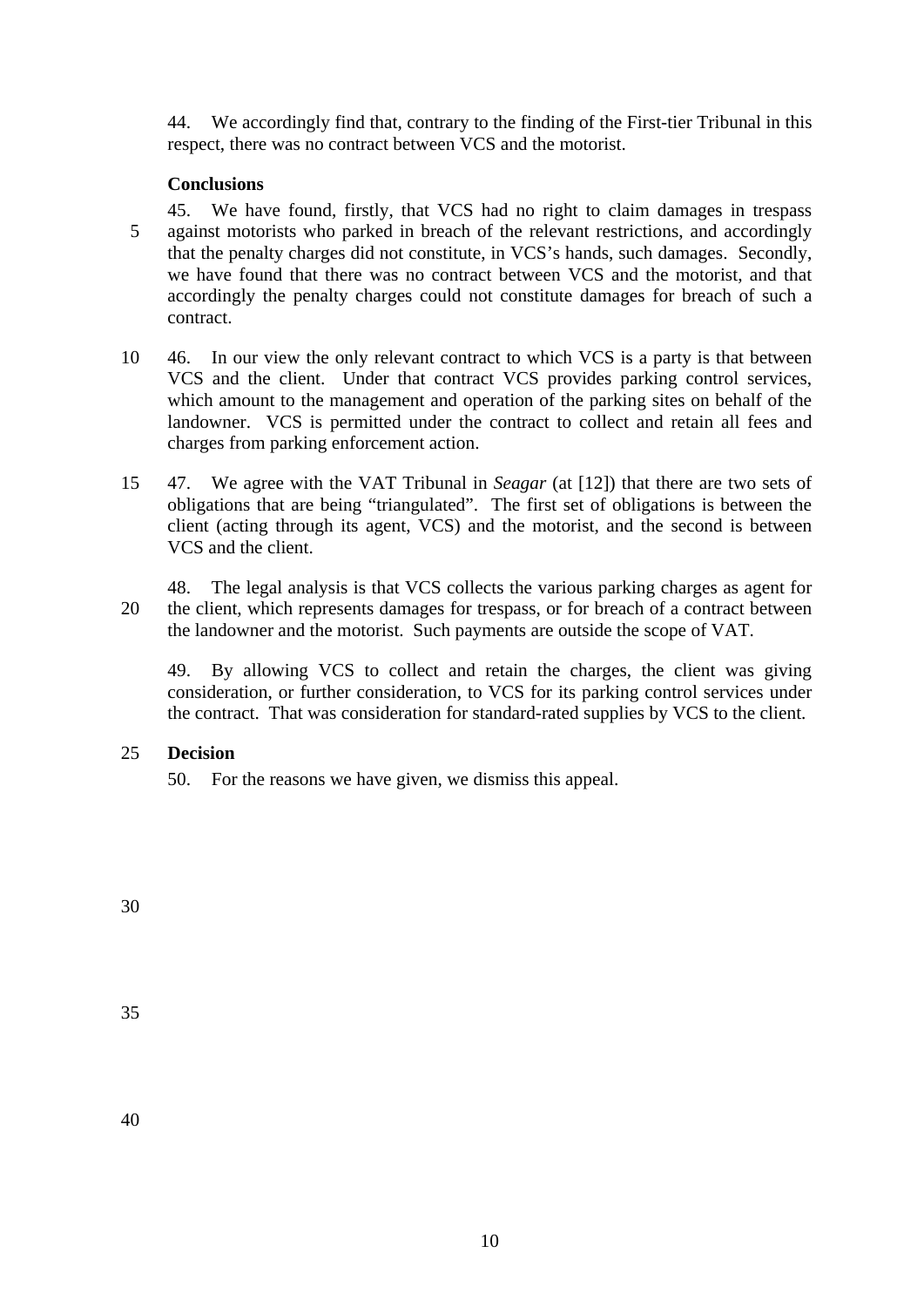44. We accordingly find that, contrary to the finding of the First-tier Tribunal in this respect, there was no contract between VCS and the motorist.

## **Conclusions**

- 45. We have found, firstly, that VCS had no right to claim damages in trespass 5 against motorists who parked in breach of the relevant restrictions, and accordingly that the penalty charges did not constitute, in VCS's hands, such damages. Secondly, we have found that there was no contract between VCS and the motorist, and that accordingly the penalty charges could not constitute damages for breach of such a contract.
- 10 46. In our view the only relevant contract to which VCS is a party is that between VCS and the client. Under that contract VCS provides parking control services, which amount to the management and operation of the parking sites on behalf of the landowner. VCS is permitted under the contract to collect and retain all fees and charges from parking enforcement action.
- 15 47. We agree with the VAT Tribunal in *Seagar* (at [12]) that there are two sets of obligations that are being "triangulated". The first set of obligations is between the client (acting through its agent, VCS) and the motorist, and the second is between VCS and the client.
- 48. The legal analysis is that VCS collects the various parking charges as agent for 20 the client, which represents damages for trespass, or for breach of a contract between the landowner and the motorist. Such payments are outside the scope of VAT.

49. By allowing VCS to collect and retain the charges, the client was giving consideration, or further consideration, to VCS for its parking control services under the contract. That was consideration for standard-rated supplies by VCS to the client.

# 25 **Decision**

50. For the reasons we have given, we dismiss this appeal.

30

35